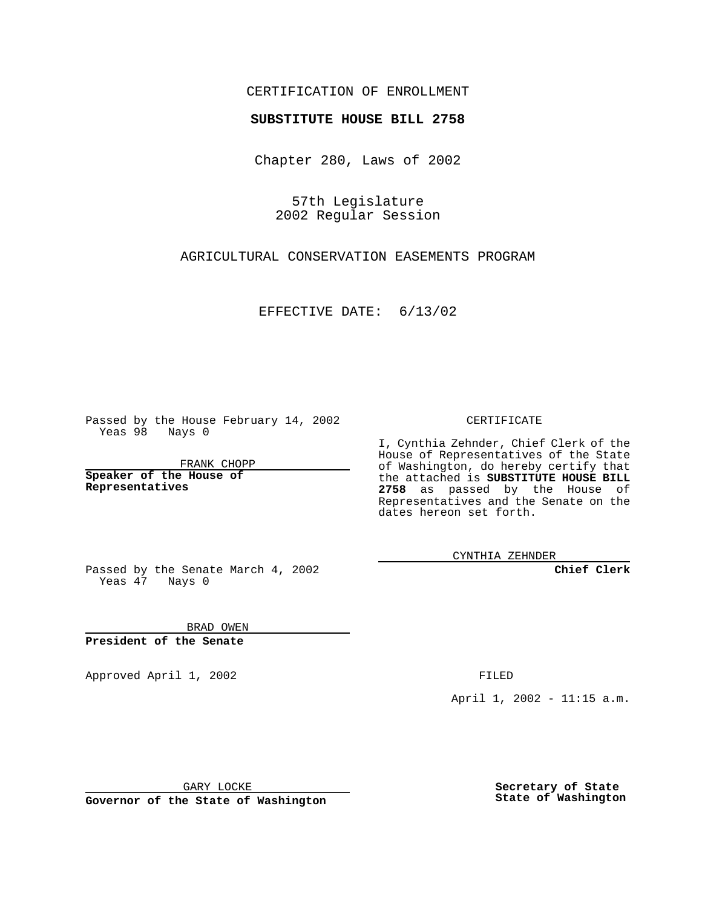## CERTIFICATION OF ENROLLMENT

## **SUBSTITUTE HOUSE BILL 2758**

Chapter 280, Laws of 2002

57th Legislature 2002 Regular Session

AGRICULTURAL CONSERVATION EASEMENTS PROGRAM

EFFECTIVE DATE: 6/13/02

Passed by the House February 14, 2002 Yeas 98 Nays 0

FRANK CHOPP

**Speaker of the House of Representatives**

CERTIFICATE

I, Cynthia Zehnder, Chief Clerk of the House of Representatives of the State of Washington, do hereby certify that the attached is **SUBSTITUTE HOUSE BILL 2758** as passed by the House of Representatives and the Senate on the dates hereon set forth.

CYNTHIA ZEHNDER

**Chief Clerk**

Passed by the Senate March 4, 2002 Yeas  $47$  Nays 0

BRAD OWEN **President of the Senate**

Approved April 1, 2002 **FILED** 

April 1, 2002 - 11:15 a.m.

GARY LOCKE

**Governor of the State of Washington**

**Secretary of State State of Washington**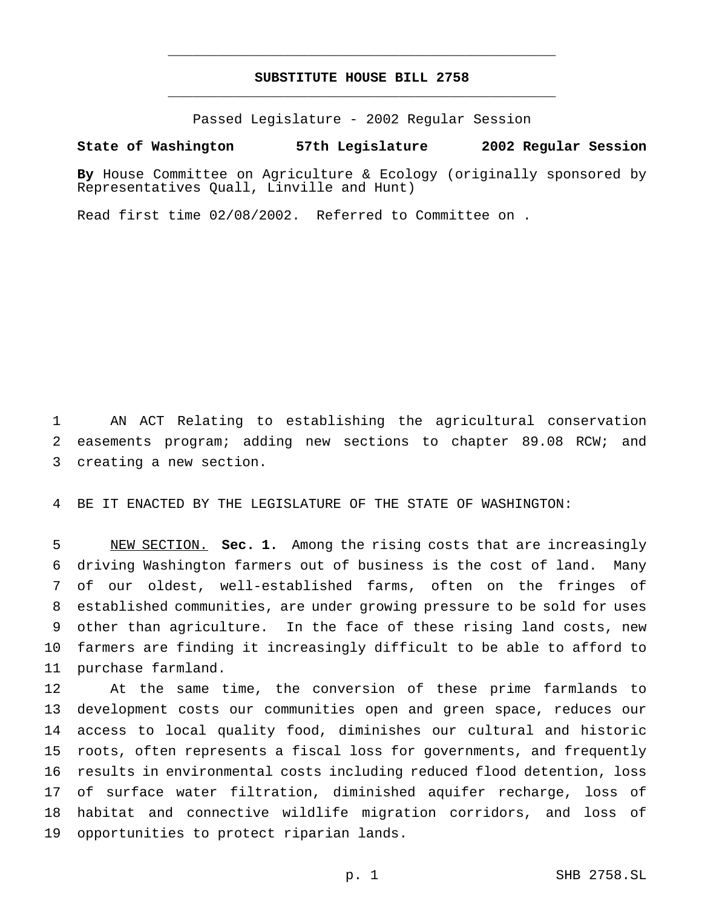## **SUBSTITUTE HOUSE BILL 2758** \_\_\_\_\_\_\_\_\_\_\_\_\_\_\_\_\_\_\_\_\_\_\_\_\_\_\_\_\_\_\_\_\_\_\_\_\_\_\_\_\_\_\_\_\_\_\_

\_\_\_\_\_\_\_\_\_\_\_\_\_\_\_\_\_\_\_\_\_\_\_\_\_\_\_\_\_\_\_\_\_\_\_\_\_\_\_\_\_\_\_\_\_\_\_

Passed Legislature - 2002 Regular Session

## **State of Washington 57th Legislature 2002 Regular Session**

**By** House Committee on Agriculture & Ecology (originally sponsored by Representatives Quall, Linville and Hunt)

Read first time 02/08/2002. Referred to Committee on .

 AN ACT Relating to establishing the agricultural conservation easements program; adding new sections to chapter 89.08 RCW; and creating a new section.

BE IT ENACTED BY THE LEGISLATURE OF THE STATE OF WASHINGTON:

 NEW SECTION. **Sec. 1.** Among the rising costs that are increasingly driving Washington farmers out of business is the cost of land. Many of our oldest, well-established farms, often on the fringes of established communities, are under growing pressure to be sold for uses other than agriculture. In the face of these rising land costs, new farmers are finding it increasingly difficult to be able to afford to purchase farmland.

 At the same time, the conversion of these prime farmlands to development costs our communities open and green space, reduces our access to local quality food, diminishes our cultural and historic roots, often represents a fiscal loss for governments, and frequently results in environmental costs including reduced flood detention, loss of surface water filtration, diminished aquifer recharge, loss of habitat and connective wildlife migration corridors, and loss of opportunities to protect riparian lands.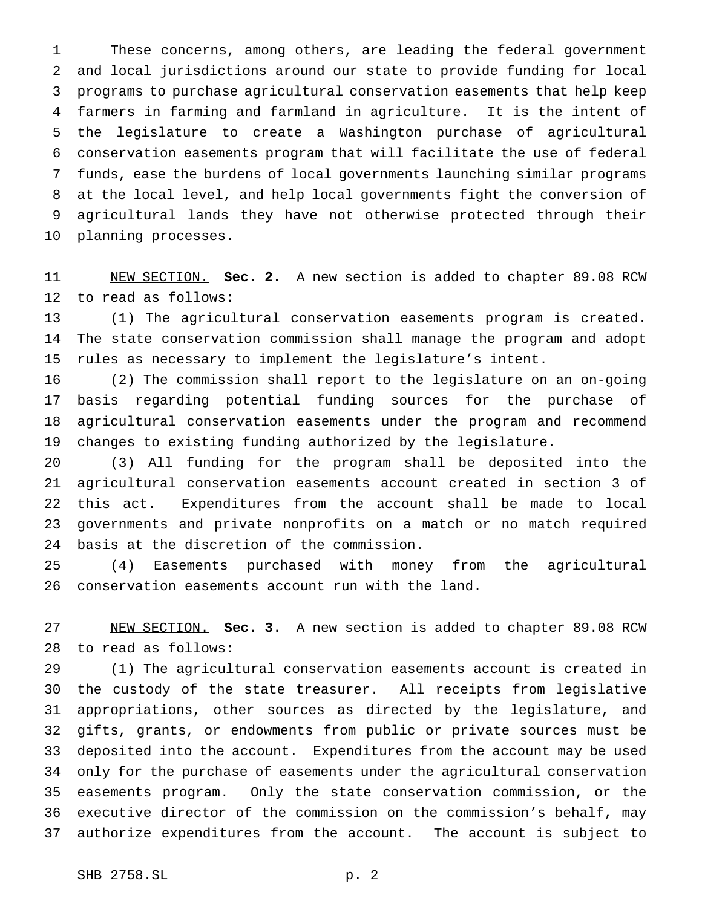These concerns, among others, are leading the federal government and local jurisdictions around our state to provide funding for local programs to purchase agricultural conservation easements that help keep farmers in farming and farmland in agriculture. It is the intent of the legislature to create a Washington purchase of agricultural conservation easements program that will facilitate the use of federal funds, ease the burdens of local governments launching similar programs at the local level, and help local governments fight the conversion of agricultural lands they have not otherwise protected through their planning processes.

 NEW SECTION. **Sec. 2.** A new section is added to chapter 89.08 RCW to read as follows:

 (1) The agricultural conservation easements program is created. The state conservation commission shall manage the program and adopt rules as necessary to implement the legislature's intent.

 (2) The commission shall report to the legislature on an on-going basis regarding potential funding sources for the purchase of agricultural conservation easements under the program and recommend changes to existing funding authorized by the legislature.

 (3) All funding for the program shall be deposited into the agricultural conservation easements account created in section 3 of this act. Expenditures from the account shall be made to local governments and private nonprofits on a match or no match required basis at the discretion of the commission.

 (4) Easements purchased with money from the agricultural conservation easements account run with the land.

 NEW SECTION. **Sec. 3.** A new section is added to chapter 89.08 RCW to read as follows:

 (1) The agricultural conservation easements account is created in the custody of the state treasurer. All receipts from legislative appropriations, other sources as directed by the legislature, and gifts, grants, or endowments from public or private sources must be deposited into the account. Expenditures from the account may be used only for the purchase of easements under the agricultural conservation easements program. Only the state conservation commission, or the executive director of the commission on the commission's behalf, may authorize expenditures from the account. The account is subject to